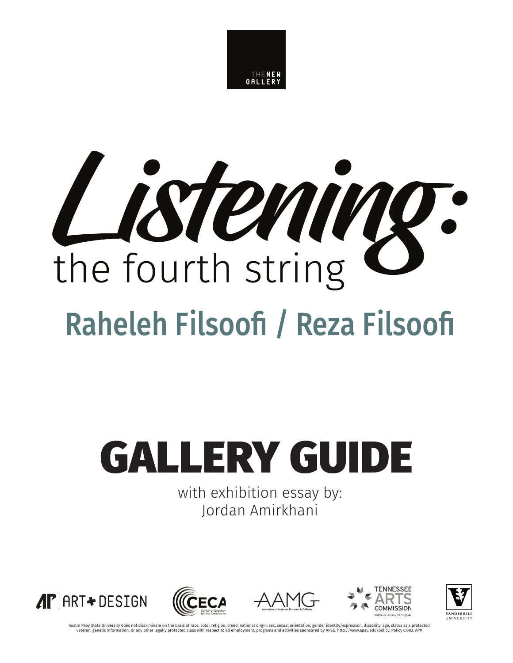

# Listening: the fourth string Raheleh Filsoofi / Reza Filsoofi

# **GALLERY GUIDE**

with exhibition essay by: Jordan Amirkhani











Austin Peay State University does not discriminate on the basis of race, color, religion, creed, national origin, sex, sexual orientation, gender identity/expression, disability, age, status as a protected veteran, genetic information, or any other legally protected class with respect to all employment, programs and activities sponsored by APSU. http://www.apsu.edu/policy. Policy 6:003. AP#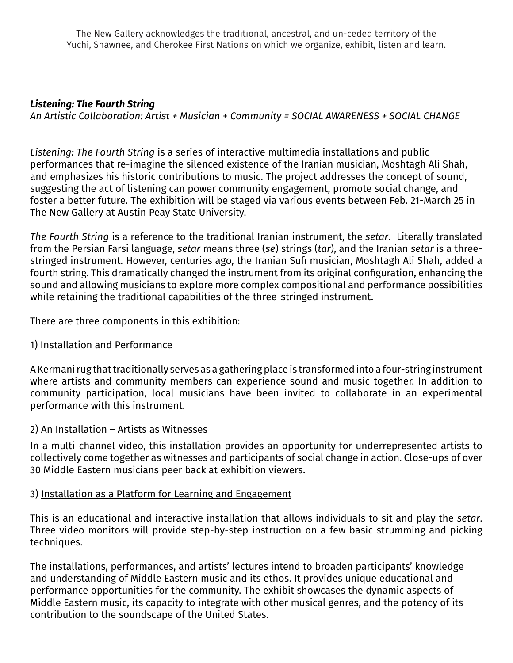The New Gallery acknowledges the traditional, ancestral, and un-ceded territory of the Yuchi, Shawnee, and Cherokee First Nations on which we organize, exhibit, listen and learn.

#### *Listening: The Fourth String*

*An Artistic Collaboration: Artist + Musician + Community = SOCIAL AWARENESS + SOCIAL CHANGE* 

*Listening: The Fourth String* is a series of interactive multimedia installations and public performances that re-imagine the silenced existence of the Iranian musician, Moshtagh Ali Shah, and emphasizes his historic contributions to music. The project addresses the concept of sound, suggesting the act of listening can power community engagement, promote social change, and foster a better future. The exhibition will be staged via various events between Feb. 21-March 25 in The New Gallery at Austin Peay State University.

*The Fourth String* is a reference to the traditional Iranian instrument, the *setar*. Literally translated from the Persian Farsi language, *setar* means three (*se*) strings (*tar*), and the Iranian *setar* is a threestringed instrument. However, centuries ago, the Iranian Sufi musician, Moshtagh Ali Shah, added a fourth string. This dramatically changed the instrument from its original configuration, enhancing the sound and allowing musicians to explore more complex compositional and performance possibilities while retaining the traditional capabilities of the three-stringed instrument.

There are three components in this exhibition:

#### 1) Installation and Performance

A Kermani rug that traditionally serves as a gathering place is transformed into a four-string instrument where artists and community members can experience sound and music together. In addition to community participation, local musicians have been invited to collaborate in an experimental performance with this instrument.

# 2) An Installation – Artists as Witnesses

In a multi-channel video, this installation provides an opportunity for underrepresented artists to collectively come together as witnesses and participants of social change in action. Close-ups of over 30 Middle Eastern musicians peer back at exhibition viewers.

# 3) Installation as a Platform for Learning and Engagement

This is an educational and interactive installation that allows individuals to sit and play the *setar*. Three video monitors will provide step-by-step instruction on a few basic strumming and picking techniques.

The installations, performances, and artists' lectures intend to broaden participants' knowledge and understanding of Middle Eastern music and its ethos. It provides unique educational and performance opportunities for the community. The exhibit showcases the dynamic aspects of Middle Eastern music, its capacity to integrate with other musical genres, and the potency of its contribution to the soundscape of the United States.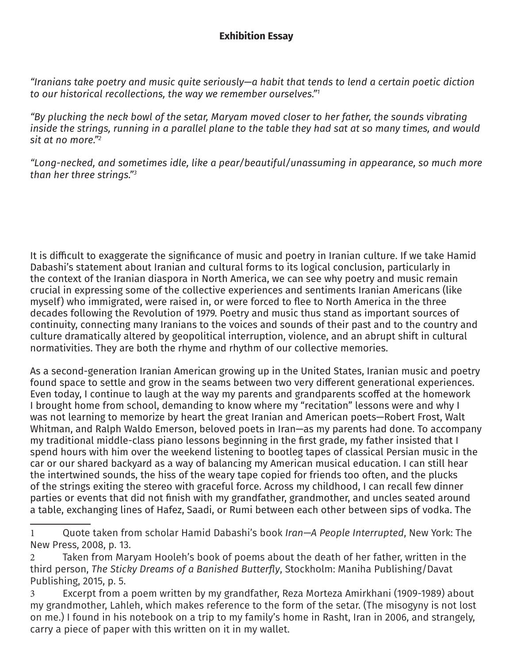*"Iranians take poetry and music quite seriously—a habit that tends to lend a certain poetic diction to our historical recollections, the way we remember ourselves."1*

*"By plucking the neck bowl of the setar, Maryam moved closer to her father, the sounds vibrating inside the strings, running in a parallel plane to the table they had sat at so many times, and would sit at no more."2*

*"Long-necked, and sometimes idle, like a pear/beautiful/unassuming in appearance, so much more than her three strings."3*

It is difficult to exaggerate the significance of music and poetry in Iranian culture. If we take Hamid Dabashi's statement about Iranian and cultural forms to its logical conclusion, particularly in the context of the Iranian diaspora in North America, we can see why poetry and music remain crucial in expressing some of the collective experiences and sentiments Iranian Americans (like myself) who immigrated, were raised in, or were forced to flee to North America in the three decades following the Revolution of 1979. Poetry and music thus stand as important sources of continuity, connecting many Iranians to the voices and sounds of their past and to the country and culture dramatically altered by geopolitical interruption, violence, and an abrupt shift in cultural normativities. They are both the rhyme and rhythm of our collective memories.

As a second-generation Iranian American growing up in the United States, Iranian music and poetry found space to settle and grow in the seams between two very different generational experiences. Even today, I continue to laugh at the way my parents and grandparents scoffed at the homework I brought home from school, demanding to know where my "recitation" lessons were and why I was not learning to memorize by heart the great Iranian and American poets—Robert Frost, Walt Whitman, and Ralph Waldo Emerson, beloved poets in Iran—as my parents had done. To accompany my traditional middle-class piano lessons beginning in the first grade, my father insisted that I spend hours with him over the weekend listening to bootleg tapes of classical Persian music in the car or our shared backyard as a way of balancing my American musical education. I can still hear the intertwined sounds, the hiss of the weary tape copied for friends too often, and the plucks of the strings exiting the stereo with graceful force. Across my childhood, I can recall few dinner parties or events that did not finish with my grandfather, grandmother, and uncles seated around a table, exchanging lines of Hafez, Saadi, or Rumi between each other between sips of vodka. The

<sup>1</sup> Quote taken from scholar Hamid Dabashi's book *Iran—A People Interrupted*, New York: The New Press, 2008, p. 13.

<sup>2</sup> Taken from Maryam Hooleh's book of poems about the death of her father, written in the third person, *The Sticky Dreams of a Banished Butterfly*, Stockholm: Maniha Publishing/Davat Publishing, 2015, p. 5.

<sup>3</sup> Excerpt from a poem written by my grandfather, Reza Morteza Amirkhani (1909-1989) about my grandmother, Lahleh, which makes reference to the form of the setar. (The misogyny is not lost on me.) I found in his notebook on a trip to my family's home in Rasht, Iran in 2006, and strangely, carry a piece of paper with this written on it in my wallet.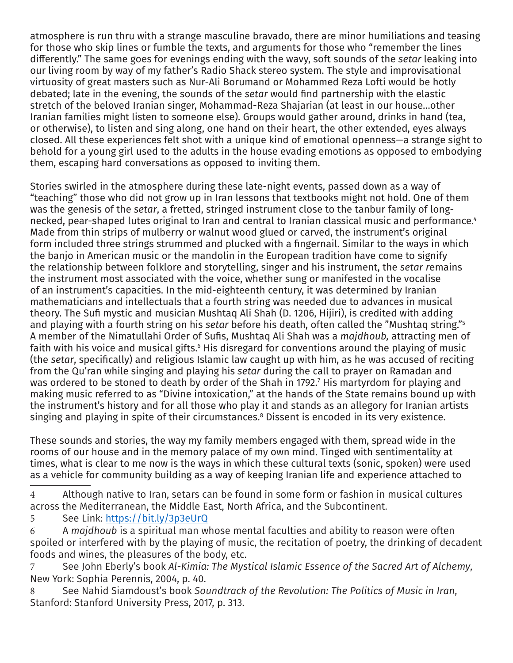atmosphere is run thru with a strange masculine bravado, there are minor humiliations and teasing for those who skip lines or fumble the texts, and arguments for those who "remember the lines differently." The same goes for evenings ending with the wavy, soft sounds of the *setar* leaking into our living room by way of my father's Radio Shack stereo system. The style and improvisational virtuosity of great masters such as Nur-Ali Borumand or Mohammed Reza Lofti would be hotly debated; late in the evening, the sounds of the *setar* would find partnership with the elastic stretch of the beloved Iranian singer, Mohammad-Reza Shajarian (at least in our house…other Iranian families might listen to someone else). Groups would gather around, drinks in hand (tea, or otherwise), to listen and sing along, one hand on their heart, the other extended, eyes always closed. All these experiences felt shot with a unique kind of emotional openness—a strange sight to behold for a young girl used to the adults in the house evading emotions as opposed to embodying them, escaping hard conversations as opposed to inviting them.

Stories swirled in the atmosphere during these late-night events, passed down as a way of "teaching" those who did not grow up in Iran lessons that textbooks might not hold. One of them was the genesis of the *setar*, a fretted, stringed instrument close to the tanbur family of longnecked, pear-shaped lutes original to Iran and central to Iranian classical music and performance.<sup>4</sup> Made from thin strips of mulberry or walnut wood glued or carved, the instrument's original form included three strings strummed and plucked with a fingernail. Similar to the ways in which the banjo in American music or the mandolin in the European tradition have come to signify the relationship between folklore and storytelling, singer and his instrument, the *setar r*emains the instrument most associated with the voice, whether sung or manifested in the vocalise of an instrument's capacities. In the mid-eighteenth century, it was determined by Iranian mathematicians and intellectuals that a fourth string was needed due to advances in musical theory. The Sufi mystic and musician Mushtaq Ali Shah (D. 1206, Hijiri), is credited with adding and playing with a fourth string on his *setar* before his death, often called the "Mushtaq string."5 A member of the Nimatullahi Order of Sufis, Mushtaq Ali Shah was a *majdhoub,* attracting men of faith with his voice and musical gifts. $\mathfrak s$  His disregard for conventions around the playing of music (the *setar*, specifically) and religious Islamic law caught up with him, as he was accused of reciting from the Qu'ran while singing and playing his *setar* during the call to prayer on Ramadan and was ordered to be stoned to death by order of the Shah in 1792. $^{\prime}$  His martyrdom for playing and making music referred to as "Divine intoxication," at the hands of the State remains bound up with the instrument's history and for all those who play it and stands as an allegory for Iranian artists singing and playing in spite of their circumstances.8 Dissent is encoded in its very existence.

These sounds and stories, the way my family members engaged with them, spread wide in the rooms of our house and in the memory palace of my own mind. Tinged with sentimentality at times, what is clear to me now is the ways in which these cultural texts (sonic, spoken) were used as a vehicle for community building as a way of keeping Iranian life and experience attached to

4 Although native to Iran, setars can be found in some form or fashion in musical cultures across the Mediterranean, the Middle East, North Africa, and the Subcontinent.

```
5 See Link: https://bit.ly/3p3eUrQ
```
6 A *majdhoub* is a spiritual man whose mental faculties and ability to reason were often spoiled or interfered with by the playing of music, the recitation of poetry, the drinking of decadent foods and wines, the pleasures of the body, etc.

7 See John Eberly's book *Al-Kimia: The Mystical Islamic Essence of the Sacred Art of Alchemy*, New York: Sophia Perennis, 2004, p. 40.

8 See Nahid Siamdoust's book *Soundtrack of the Revolution: The Politics of Music in Iran*, Stanford: Stanford University Press, 2017, p. 313.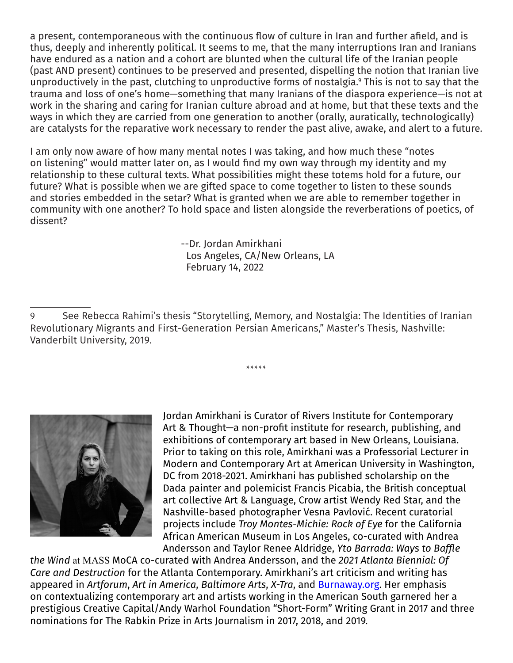a present, contemporaneous with the continuous flow of culture in Iran and further afield, and is thus, deeply and inherently political. It seems to me, that the many interruptions Iran and Iranians have endured as a nation and a cohort are blunted when the cultural life of the Iranian people (past AND present) continues to be preserved and presented, dispelling the notion that Iranian live unproductively in the past, clutching to unproductive forms of nostalgia.9 This is not to say that the trauma and loss of one's home—something that many Iranians of the diaspora experience—is not at work in the sharing and caring for Iranian culture abroad and at home, but that these texts and the ways in which they are carried from one generation to another (orally, auratically, technologically) are catalysts for the reparative work necessary to render the past alive, awake, and alert to a future.

I am only now aware of how many mental notes I was taking, and how much these "notes on listening" would matter later on, as I would find my own way through my identity and my relationship to these cultural texts. What possibilities might these totems hold for a future, our future? What is possible when we are gifted space to come together to listen to these sounds and stories embedded in the setar? What is granted when we are able to remember together in community with one another? To hold space and listen alongside the reverberations of poetics, of dissent?

> --Dr. Jordan Amirkhani Los Angeles, CA/New Orleans, LA February 14, 2022

\*\*\*\*\*



Jordan Amirkhani is Curator of Rivers Institute for Contemporary Art & Thought—a non-profit institute for research, publishing, and exhibitions of contemporary art based in New Orleans, Louisiana. Prior to taking on this role, Amirkhani was a Professorial Lecturer in Modern and Contemporary Art at American University in Washington, DC from 2018-2021. Amirkhani has published scholarship on the Dada painter and polemicist Francis Picabia, the British conceptual art collective Art & Language, Crow artist Wendy Red Star, and the Nashville-based photographer Vesna Pavlović. Recent curatorial projects include *Troy Montes-Michie: Rock of Eye* for the California African American Museum in Los Angeles, co-curated with Andrea Andersson and Taylor Renee Aldridge, *Yto Barrada: Ways to Baffle* 

*the Wind* at MASS MoCA co-curated with Andrea Andersson, and the *2021 Atlanta Biennial: Of Care and Destruction* for the Atlanta Contemporary. Amirkhani's art criticism and writing has appeared in *Artforum*, *Art in America*, *Baltimore Arts*, *X-Tra*, and Burnaway.org. Her emphasis on contextualizing contemporary art and artists working in the American South garnered her a prestigious Creative Capital/Andy Warhol Foundation "Short-Form" Writing Grant in 2017 and three nominations for The Rabkin Prize in Arts Journalism in 2017, 2018, and 2019.

<sup>9</sup> See Rebecca Rahimi's thesis "Storytelling, Memory, and Nostalgia: The Identities of Iranian Revolutionary Migrants and First-Generation Persian Americans," Master's Thesis, Nashville: Vanderbilt University, 2019.